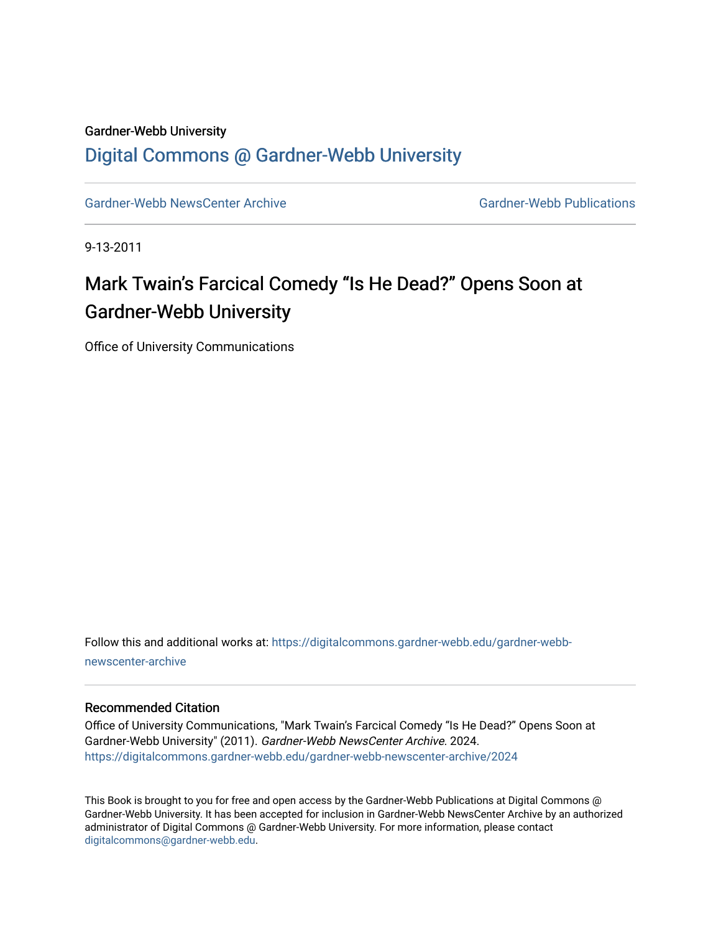### Gardner-Webb University

## [Digital Commons @ Gardner-Webb University](https://digitalcommons.gardner-webb.edu/)

[Gardner-Webb NewsCenter Archive](https://digitalcommons.gardner-webb.edu/gardner-webb-newscenter-archive) Gardner-Webb Publications

9-13-2011

# Mark Twain's Farcical Comedy "Is He Dead?" Opens Soon at Gardner-Webb University

Office of University Communications

Follow this and additional works at: [https://digitalcommons.gardner-webb.edu/gardner-webb](https://digitalcommons.gardner-webb.edu/gardner-webb-newscenter-archive?utm_source=digitalcommons.gardner-webb.edu%2Fgardner-webb-newscenter-archive%2F2024&utm_medium=PDF&utm_campaign=PDFCoverPages)[newscenter-archive](https://digitalcommons.gardner-webb.edu/gardner-webb-newscenter-archive?utm_source=digitalcommons.gardner-webb.edu%2Fgardner-webb-newscenter-archive%2F2024&utm_medium=PDF&utm_campaign=PDFCoverPages)

#### Recommended Citation

Office of University Communications, "Mark Twain's Farcical Comedy "Is He Dead?" Opens Soon at Gardner-Webb University" (2011). Gardner-Webb NewsCenter Archive. 2024. [https://digitalcommons.gardner-webb.edu/gardner-webb-newscenter-archive/2024](https://digitalcommons.gardner-webb.edu/gardner-webb-newscenter-archive/2024?utm_source=digitalcommons.gardner-webb.edu%2Fgardner-webb-newscenter-archive%2F2024&utm_medium=PDF&utm_campaign=PDFCoverPages) 

This Book is brought to you for free and open access by the Gardner-Webb Publications at Digital Commons @ Gardner-Webb University. It has been accepted for inclusion in Gardner-Webb NewsCenter Archive by an authorized administrator of Digital Commons @ Gardner-Webb University. For more information, please contact [digitalcommons@gardner-webb.edu](mailto:digitalcommons@gardner-webb.edu).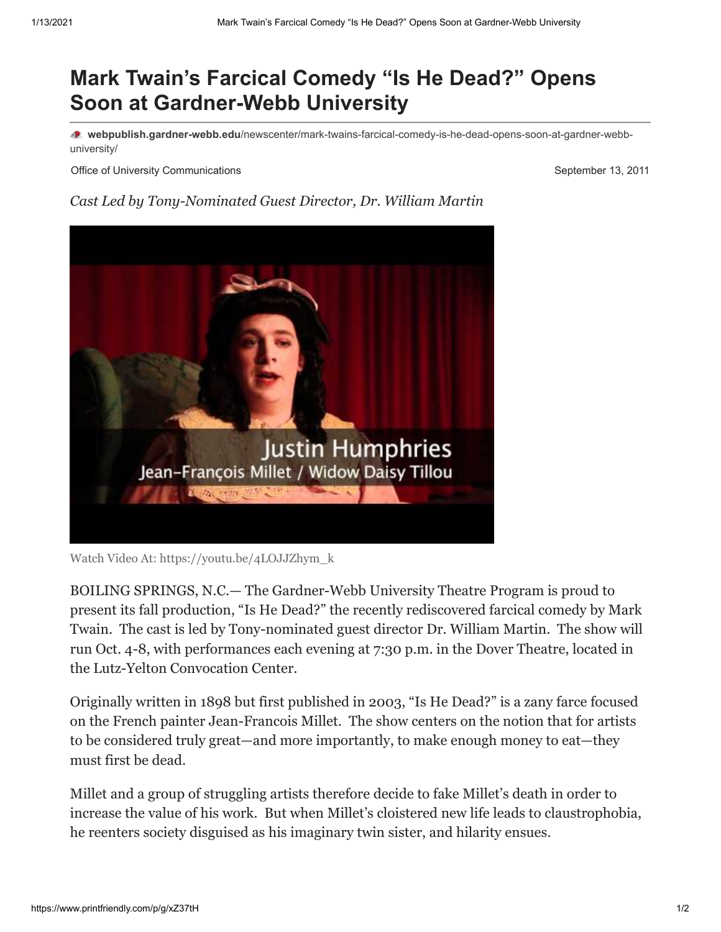# **Mark Twain's Farcical Comedy "Is He Dead?" Opens Soon at Gardner-Webb University**

**webpublish.gardner-webb.edu**[/newscenter/mark-twains-farcical-comedy-is-he-dead-opens-soon-at-gardner-webb](https://webpublish.gardner-webb.edu/newscenter/mark-twains-farcical-comedy-is-he-dead-opens-soon-at-gardner-webb-university/)university/

Office of University Communications **September 13, 2011** 

### *Cast Led by Tony-Nominated Guest Director, Dr. William Martin*



Watch Video [At: https://youtu.be/4LOJJZhym\\_k](https://youtu.be/4LOJJZhym_k)

BOILING SPRINGS, N.C.— The Gardner-Webb University Theatre Program is proud to present its fall production, "Is He Dead?" the recently rediscovered farcical comedy by Mark Twain. The cast is led by Tony-nominated guest director Dr. William Martin. The show will run Oct. 4-8, with performances each evening at 7:30 p.m. in the Dover Theatre, located in the Lutz-Yelton Convocation Center.

Originally written in 1898 but first published in 2003, "Is He Dead?" is a zany farce focused on the French painter Jean-Francois Millet. The show centers on the notion that for artists to be considered truly great—and more importantly, to make enough money to eat—they must first be dead.

Millet and a group of struggling artists therefore decide to fake Millet's death in order to increase the value of his work. But when Millet's cloistered new life leads to claustrophobia, he reenters society disguised as his imaginary twin sister, and hilarity ensues.